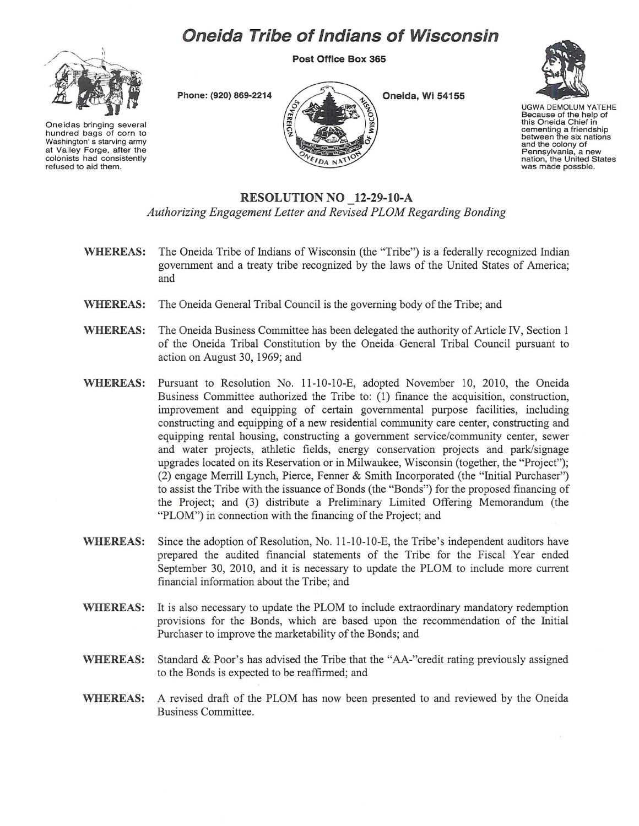## **Oneida Tribe of Indians of Wisconsin**

**Post Office Box 365** 



Oneidas bringing several hundred bags of corn to Washington's starving army at Valley Forge, after the colonists had consistently refused to aid them.



Phone: (920) 869-2214 **All Accords Change on Section 21.55** 



UGWA DEMOLUM YATEHE Because of the help of this Oneida Chief in cementing a friendship between the six nations and the colony of<br>Pennsylvania, a new nation, the United States<br>was made possble.

## **RESOLUTION NO 12-29-10-A**  *Authorizing Engagement Letter and Revised PLOM Regarding Bonding*

- **WHEREAS:** The Oneida Tribe of Indians of Wisconsin (the "Tribe") is a federally recognized Indian government and a treaty tribe recognized by the laws of the United States of America; and
- **WHEREAS:** The Oneida General Tribal Council is the governing body of the Tribe; and
- **WHEREAS:** The Oneida Business Committee has been delegated the authority of Article IV, Section 1 of the Oneida Tribal Constitution by the Oneida General Tribal Council pursuant to action on August 30, 1969; and
- **WHEREAS:** Pursuant to Resolution No. 11-10-10-E, adopted November 10, 2010, the Oneida Business Committee authorized the Tribe to: (1) finance the acquisition, construction, improvement and equipping of certain governmental purpose facilities, including constructing and equipping of a new residential community care center, constructing and equipping rental housing, constructing a government service/community center, sewer and water projects, athletic fields, energy conservation projects and park/signage upgrades located on its Reservation or in Milwaukee, Wisconsin (together, the "Project"); (2) engage Merrill Lynch, Pierce, Fenner & Smith Incorporated (the "Initial Purchaser") to assist the Tribe with the issuance of Bonds (the "Bonds") for the proposed financing of the Project; and (3) distribute a Preliminary Limited Offering Memorandum (the "PLOM") in connection with the financing of the Project; and
- WHEREAS: Since the adoption of Resolution, No. 11-10-10-E, the Tribe's independent auditors have prepared the audited financial statements of the Tribe for the Fiscal Year ended September 30, 2010, and it is necessary to update the PLOM to include more current financial information about the Tribe; and
- **WHEREAS:** It is also necessary to update the PLOM to include extraordinary mandatory redemption provisions for the Bonds, which are based upon the recommendation of the Initial Purchaser to improve the marketability of the Bonds; and
- **WHEREAS:** Standard & Poor's has advised the Tribe that the "AA-"credit rating previously assigned to the Bonds is expected to be reaffirmed; and
- **WHEREAS:** A revised draft of the PLOM has now been presented to and reviewed by the Oneida Business Committee.